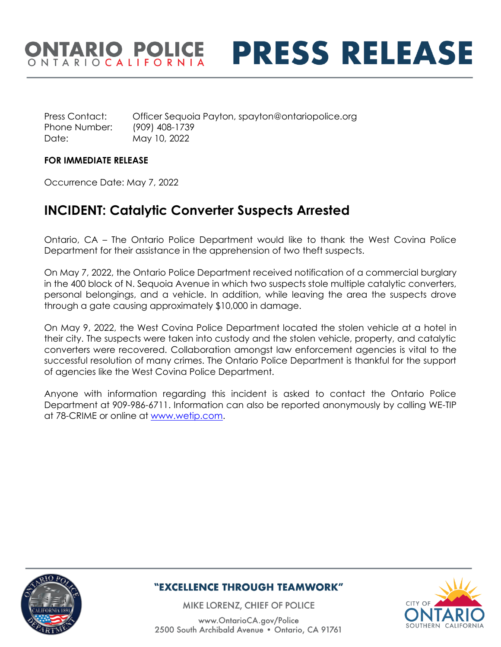## ONTARIO POLICE **PRESS RELEASE**

Press Contact: Officer Sequoia Payton, spayton@ontariopolice.org Phone Number: (909) 408-1739 Date: May 10, 2022

#### **FOR IMMEDIATE RELEASE**

Occurrence Date: May 7, 2022

### **INCIDENT: Catalytic Converter Suspects Arrested**

Ontario, CA – The Ontario Police Department would like to thank the West Covina Police Department for their assistance in the apprehension of two theft suspects.

On May 7, 2022, the Ontario Police Department received notification of a commercial burglary in the 400 block of N. Sequoia Avenue in which two suspects stole multiple catalytic converters, personal belongings, and a vehicle. In addition, while leaving the area the suspects drove through a gate causing approximately \$10,000 in damage.

On May 9, 2022, the West Covina Police Department located the stolen vehicle at a hotel in their city. The suspects were taken into custody and the stolen vehicle, property, and catalytic converters were recovered. Collaboration amongst law enforcement agencies is vital to the successful resolution of many crimes. The Ontario Police Department is thankful for the support of agencies like the West Covina Police Department.

Anyone with information regarding this incident is asked to contact the Ontario Police Department at 909-986-6711. Information can also be reported anonymously by calling WE-TIP at 78-CRIME or online at [www.wetip.com.](http://www.wetip.com/)



#### "EXCELLENCE THROUGH TEAMWORK"

MIKE LORENZ, CHIEF OF POLICE

www.OntarioCA.gov/Police 2500 South Archibald Avenue . Ontario, CA 91761